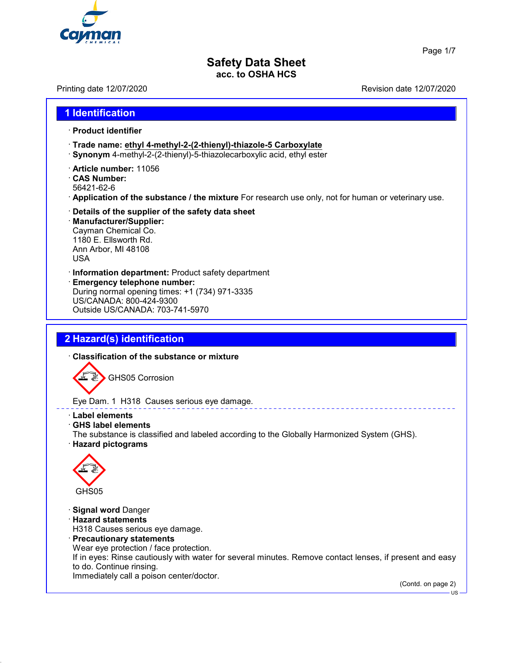

Page 1/7

## **Safety Data Sheet acc. to OSHA HCS**

Printing date 12/07/2020 **Revision date 12/07/2020** 

# **1 Identification**

#### · **Product identifier**

- · **Trade name: ethyl 4-methyl-2-(2-thienyl)-thiazole-5 Carboxylate**
- · **Synonym** 4-methyl-2-(2-thienyl)-5-thiazolecarboxylic acid, ethyl ester
- · **Article number:** 11056
- · **CAS Number:**
- 56421-62-6
- · **Application of the substance / the mixture** For research use only, not for human or veterinary use.
- · **Details of the supplier of the safety data sheet** · **Manufacturer/Supplier:** Cayman Chemical Co. 1180 E. Ellsworth Rd.

Ann Arbor, MI 48108 USA

- · **Information department:** Product safety department
- · **Emergency telephone number:** During normal opening times: +1 (734) 971-3335 US/CANADA: 800-424-9300 Outside US/CANADA: 703-741-5970

# **2 Hazard(s) identification**

· **Classification of the substance or mixture**



Eye Dam. 1 H318 Causes serious eye damage.

- · **Label elements**
- · **GHS label elements**

The substance is classified and labeled according to the Globally Harmonized System (GHS). · **Hazard pictograms**



· **Signal word** Danger

· **Hazard statements**

H318 Causes serious eye damage.

· **Precautionary statements**

Wear eye protection / face protection.

If in eyes: Rinse cautiously with water for several minutes. Remove contact lenses, if present and easy to do. Continue rinsing.

Immediately call a poison center/doctor.

(Contd. on page 2)

US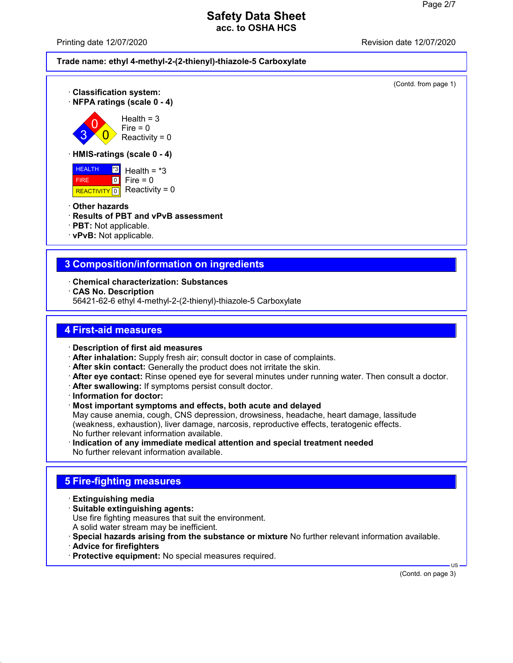Printing date 12/07/2020



(Contd. from page 1)





 $Health = 3$  $Fire = 0$ Reactivity =  $0$ 

#### · **HMIS-ratings (scale 0 - 4)**

**HEALTH**  FIRE REACTIVITY 0 \*3  $\overline{0}$ Health  $=$   $*3$ Fire  $= 0$ Reactivity =  $0$ 

- · **Other hazards**
- · **Results of PBT and vPvB assessment**
- · **PBT:** Not applicable.
- · **vPvB:** Not applicable.

# **3 Composition/information on ingredients**

- · **Chemical characterization: Substances**
- · **CAS No. Description**
- 56421-62-6 ethyl 4-methyl-2-(2-thienyl)-thiazole-5 Carboxylate

## **4 First-aid measures**

- · **Description of first aid measures**
- · **After inhalation:** Supply fresh air; consult doctor in case of complaints.
- · **After skin contact:** Generally the product does not irritate the skin.
- · **After eye contact:** Rinse opened eye for several minutes under running water. Then consult a doctor.
- · **After swallowing:** If symptoms persist consult doctor.
- · **Information for doctor:**
- · **Most important symptoms and effects, both acute and delayed** May cause anemia, cough, CNS depression, drowsiness, headache, heart damage, lassitude (weakness, exhaustion), liver damage, narcosis, reproductive effects, teratogenic effects. No further relevant information available.
- · **Indication of any immediate medical attention and special treatment needed** No further relevant information available.

# **5 Fire-fighting measures**

- · **Extinguishing media**
- · **Suitable extinguishing agents:** Use fire fighting measures that suit the environment. A solid water stream may be inefficient.
- · **Special hazards arising from the substance or mixture** No further relevant information available.
- · **Advice for firefighters**
- · **Protective equipment:** No special measures required.

 US (Contd. on page 3)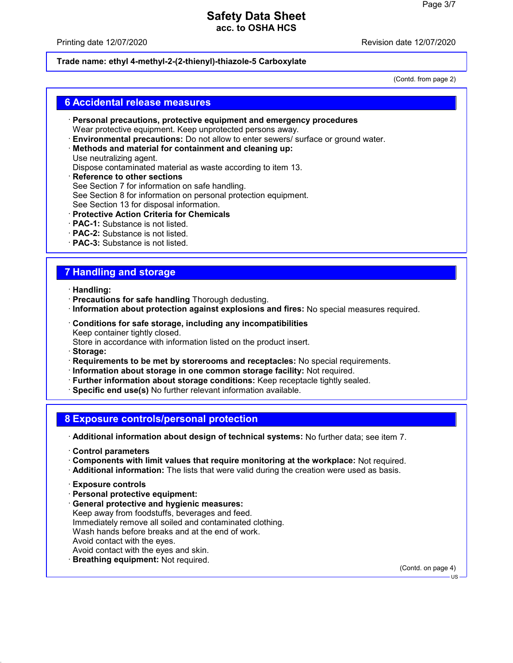#### Printing date 12/07/2020

#### **Trade name: ethyl 4-methyl-2-(2-thienyl)-thiazole-5 Carboxylate**

(Contd. from page 2)

#### **6 Accidental release measures**

- · **Personal precautions, protective equipment and emergency procedures** Wear protective equipment. Keep unprotected persons away.
- · **Environmental precautions:** Do not allow to enter sewers/ surface or ground water.
- · **Methods and material for containment and cleaning up:** Use neutralizing agent.
- Dispose contaminated material as waste according to item 13.
- · **Reference to other sections** See Section 7 for information on safe handling. See Section 8 for information on personal protection equipment. See Section 13 for disposal information.
- · **Protective Action Criteria for Chemicals**
- · **PAC-1:** Substance is not listed.
- · **PAC-2:** Substance is not listed.
- · **PAC-3:** Substance is not listed.

# **7 Handling and storage**

- · **Handling:**
- · **Precautions for safe handling** Thorough dedusting.
- · **Information about protection against explosions and fires:** No special measures required.
- · **Conditions for safe storage, including any incompatibilities** Keep container tightly closed. Store in accordance with information listed on the product insert.
- · **Storage:**
- · **Requirements to be met by storerooms and receptacles:** No special requirements.
- · **Information about storage in one common storage facility:** Not required.
- · **Further information about storage conditions:** Keep receptacle tightly sealed.
- · **Specific end use(s)** No further relevant information available.

#### **8 Exposure controls/personal protection**

· **Additional information about design of technical systems:** No further data; see item 7.

- · **Control parameters**
- · **Components with limit values that require monitoring at the workplace:** Not required.
- · **Additional information:** The lists that were valid during the creation were used as basis.
- · **Exposure controls**
- · **Personal protective equipment:**
- · **General protective and hygienic measures:** Keep away from foodstuffs, beverages and feed. Immediately remove all soiled and contaminated clothing. Wash hands before breaks and at the end of work. Avoid contact with the eyes. Avoid contact with the eyes and skin.
- · **Breathing equipment:** Not required.

(Contd. on page 4)

US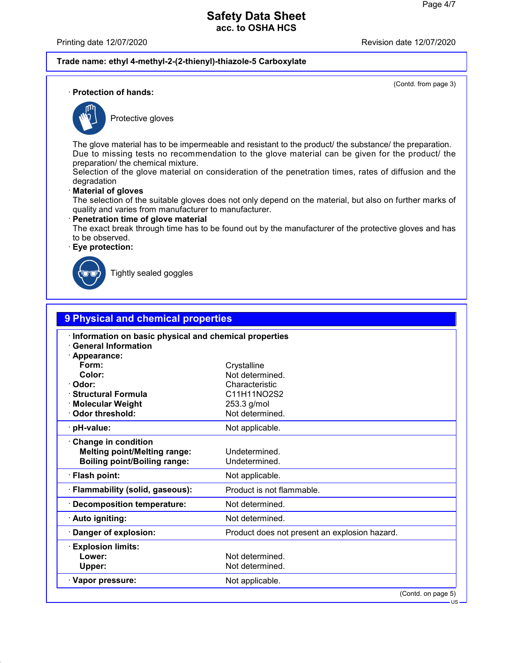Printing date 12/07/2020

#### **Trade name: ethyl 4-methyl-2-(2-thienyl)-thiazole-5 Carboxylate**

(Contd. from page 3)

· **Protection of hands:**



Protective gloves

The glove material has to be impermeable and resistant to the product/ the substance/ the preparation. Due to missing tests no recommendation to the glove material can be given for the product/ the preparation/ the chemical mixture.

Selection of the glove material on consideration of the penetration times, rates of diffusion and the degradation

#### · **Material of gloves**

The selection of the suitable gloves does not only depend on the material, but also on further marks of quality and varies from manufacturer to manufacturer.

· **Penetration time of glove material**

The exact break through time has to be found out by the manufacturer of the protective gloves and has to be observed.

· **Eye protection:**



Tightly sealed goggles

| 9 Physical and chemical properties                                                                       |                                               |  |
|----------------------------------------------------------------------------------------------------------|-----------------------------------------------|--|
| Information on basic physical and chemical properties<br><b>General Information</b><br>· Appearance:     |                                               |  |
| Form:                                                                                                    | Crystalline                                   |  |
| Color:                                                                                                   | Not determined.                               |  |
| Odor:                                                                                                    | Characteristic                                |  |
| <b>Structural Formula</b>                                                                                | C11H11NO2S2                                   |  |
| <b>Molecular Weight</b>                                                                                  | 253.3 g/mol                                   |  |
| Odor threshold:                                                                                          | Not determined.                               |  |
| pH-value:                                                                                                | Not applicable.                               |  |
| <b>Change in condition</b><br><b>Melting point/Melting range:</b><br><b>Boiling point/Boiling range:</b> | Undetermined.<br>Undetermined.                |  |
| · Flash point:                                                                                           | Not applicable.                               |  |
| Flammability (solid, gaseous):                                                                           | Product is not flammable.                     |  |
| <b>Decomposition temperature:</b>                                                                        | Not determined.                               |  |
| · Auto igniting:                                                                                         | Not determined.                               |  |
| Danger of explosion:                                                                                     | Product does not present an explosion hazard. |  |
| <b>Explosion limits:</b>                                                                                 |                                               |  |
| Lower:                                                                                                   | Not determined.                               |  |
| Upper:                                                                                                   | Not determined.                               |  |
| · Vapor pressure:                                                                                        | Not applicable.                               |  |
|                                                                                                          | (Contd. on page 5)                            |  |
|                                                                                                          | $US -$                                        |  |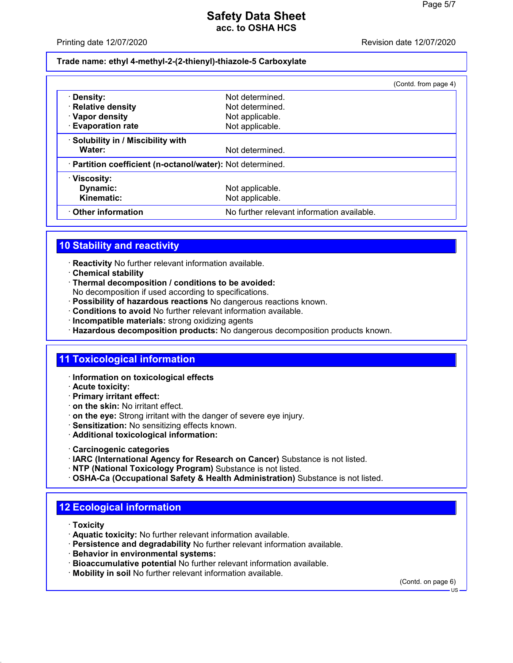Printing date 12/07/2020

**Trade name: ethyl 4-methyl-2-(2-thienyl)-thiazole-5 Carboxylate**

|                                                            |                                            | (Contd. from page 4) |
|------------------------------------------------------------|--------------------------------------------|----------------------|
| · Density:                                                 | Not determined.                            |                      |
| · Relative density                                         | Not determined.                            |                      |
| · Vapor density                                            | Not applicable.                            |                      |
| <b>Evaporation rate</b>                                    | Not applicable.                            |                      |
| · Solubility in / Miscibility with                         |                                            |                      |
| Water:                                                     | Not determined.                            |                      |
| · Partition coefficient (n-octanol/water): Not determined. |                                            |                      |
| $\cdot$ Viscosity:                                         |                                            |                      |
| Dynamic:                                                   | Not applicable.                            |                      |
| Kinematic:                                                 | Not applicable.                            |                      |
| Other information                                          | No further relevant information available. |                      |

# **10 Stability and reactivity**

- · **Reactivity** No further relevant information available.
- · **Chemical stability**
- · **Thermal decomposition / conditions to be avoided:**
- No decomposition if used according to specifications.
- · **Possibility of hazardous reactions** No dangerous reactions known.
- · **Conditions to avoid** No further relevant information available.
- · **Incompatible materials:** strong oxidizing agents
- · **Hazardous decomposition products:** No dangerous decomposition products known.

## **11 Toxicological information**

- · **Information on toxicological effects**
- · **Acute toxicity:**
- · **Primary irritant effect:**
- · **on the skin:** No irritant effect.
- · **on the eye:** Strong irritant with the danger of severe eye injury.
- · **Sensitization:** No sensitizing effects known.
- · **Additional toxicological information:**
- · **Carcinogenic categories**
- · **IARC (International Agency for Research on Cancer)** Substance is not listed.
- · **NTP (National Toxicology Program)** Substance is not listed.
- · **OSHA-Ca (Occupational Safety & Health Administration)** Substance is not listed.

# **12 Ecological information**

- · **Toxicity**
- · **Aquatic toxicity:** No further relevant information available.
- · **Persistence and degradability** No further relevant information available.
- · **Behavior in environmental systems:**
- · **Bioaccumulative potential** No further relevant information available.
- · **Mobility in soil** No further relevant information available.

(Contd. on page 6)

US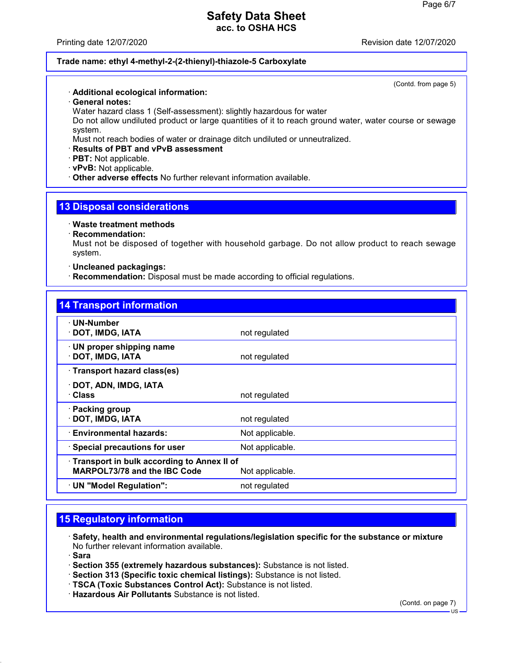Printing date 12/07/2020

#### **Trade name: ethyl 4-methyl-2-(2-thienyl)-thiazole-5 Carboxylate**

(Contd. from page 5)

#### · **Additional ecological information:**

· **General notes:**

Water hazard class 1 (Self-assessment): slightly hazardous for water

Do not allow undiluted product or large quantities of it to reach ground water, water course or sewage system.

Must not reach bodies of water or drainage ditch undiluted or unneutralized.

#### · **Results of PBT and vPvB assessment**

- · **PBT:** Not applicable.
- · **vPvB:** Not applicable.
- · **Other adverse effects** No further relevant information available.

### **13 Disposal considerations**

- · **Waste treatment methods**
- · **Recommendation:**

Must not be disposed of together with household garbage. Do not allow product to reach sewage system.

· **Uncleaned packagings:**

· **Recommendation:** Disposal must be made according to official regulations.

| <b>14 Transport information</b>                                                                      |                 |
|------------------------------------------------------------------------------------------------------|-----------------|
| $\cdot$ UN-Number<br>DOT, IMDG, IATA                                                                 | not regulated   |
| · UN proper shipping name<br>DOT, IMDG, IATA                                                         | not regulated   |
| · Transport hazard class(es)                                                                         |                 |
| · DOT, ADN, IMDG, IATA<br>· Class                                                                    | not regulated   |
| · Packing group<br>DOT, IMDG, IATA                                                                   | not regulated   |
| · Environmental hazards:                                                                             | Not applicable. |
| · Special precautions for user                                                                       | Not applicable. |
| Transport in bulk according to Annex II of<br><b>MARPOL73/78 and the IBC Code</b><br>Not applicable. |                 |
| · UN "Model Regulation":                                                                             | not regulated   |

# **15 Regulatory information**

- · **Safety, health and environmental regulations/legislation specific for the substance or mixture** No further relevant information available.
- · **Sara**
- · **Section 355 (extremely hazardous substances):** Substance is not listed.
- · **Section 313 (Specific toxic chemical listings):** Substance is not listed.
- · **TSCA (Toxic Substances Control Act):** Substance is not listed.
- · **Hazardous Air Pollutants** Substance is not listed.

(Contd. on page 7)

US